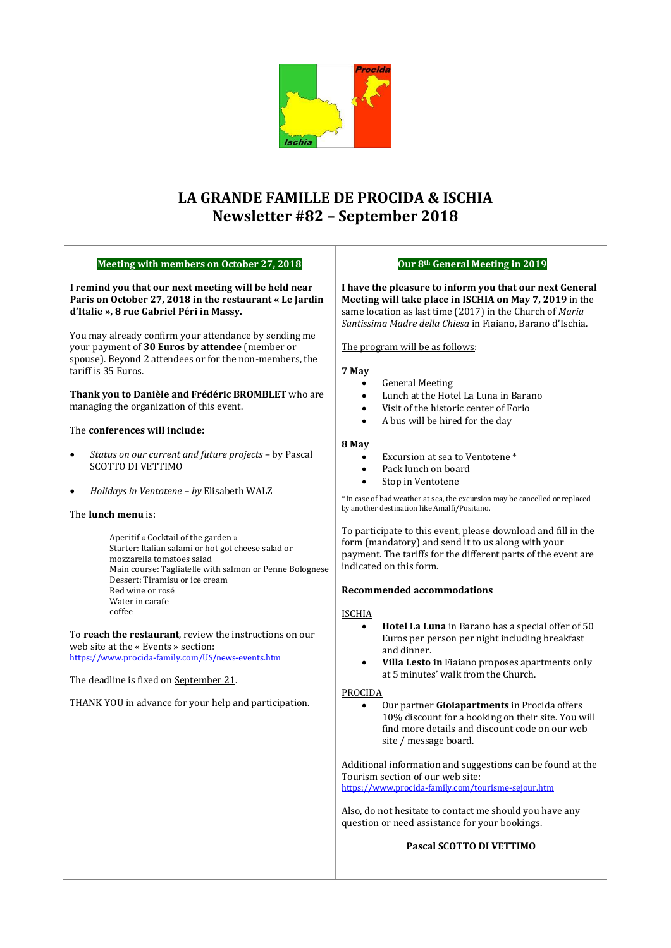

# **LA GRANDE FAMILLE DE PROCIDA & ISCHIA Newsletter #82 – September 2018**

| <b>Meeting with members on October 27, 2018</b>                                                                                                                                                                                                                                                   |                                                                        |
|---------------------------------------------------------------------------------------------------------------------------------------------------------------------------------------------------------------------------------------------------------------------------------------------------|------------------------------------------------------------------------|
| I remind you that our next meeting will be held near<br>Paris on October 27, 2018 in the restaurant « Le Jardin<br>d'Italie », 8 rue Gabriel Péri in Massy.                                                                                                                                       | I have tl<br>Meeting<br>same loc<br>Santissin                          |
| You may already confirm your attendance by sending me<br>your payment of 30 Euros by attendee (member or<br>spouse). Beyond 2 attendees or for the non-members, the<br>tariff is 35 Euros.                                                                                                        | The prog<br>7 May                                                      |
| Thank you to Danièle and Frédéric BROMBLET who are<br>managing the organization of this event.                                                                                                                                                                                                    |                                                                        |
| The <b>conferences will include:</b>                                                                                                                                                                                                                                                              | 8 May                                                                  |
| Status on our current and future projects - by Pascal<br>$\bullet$<br><b>SCOTTO DI VETTIMO</b>                                                                                                                                                                                                    |                                                                        |
| Holidays in Ventotene - by Elisabeth WALZ<br>٠                                                                                                                                                                                                                                                    | * in case of<br>by another                                             |
| The <b>lunch menu</b> is:<br>Aperitif « Cocktail of the garden »<br>Starter: Italian salami or hot got cheese salad or<br>mozzarella tomatoes salad<br>Main course: Tagliatelle with salmon or Penne Bolognese<br>Dessert: Tiramisu or ice cream<br>Red wine or rosé<br>Water in carafe<br>coffee | To partio<br>form (m<br>payment<br>indicate<br>Recomn<br><b>ISCHIA</b> |
| To <b>reach the restaurant</b> , review the instructions on our<br>web site at the « Events » section:<br>https://www.procida-family.com/US/news-events.htm                                                                                                                                       |                                                                        |
| The deadline is fixed on <u>September 21</u> .                                                                                                                                                                                                                                                    |                                                                        |
| THANK YOU in advance for your help and participation.                                                                                                                                                                                                                                             | <b>PROCID</b>                                                          |
|                                                                                                                                                                                                                                                                                                   | Addition<br>Tourism<br>https://w                                       |
|                                                                                                                                                                                                                                                                                                   | Also, do                                                               |

## **Our 8th General Meeting in 2019**

**I have the pleasure to inform you that our next General will take place in ISCHIA on May 7, 2019** in the same location as last time (2017) in the Church of *Maria Santissima Madre della Chiesa* in Fiaiano, Barano d'Ischia.

gram will be as follows:

- General Meeting
- Lunch at the Hotel La Luna in Barano
- Visit of the historic center of Forio
- A bus will be hired for the day
- Excursion at sea to Ventotene \*
- Pack lunch on board
- Stop in Ventotene

bad weather at sea, the excursion may be cancelled or replaced destination like Amalfi/Positano.

cipate to this event, please download and fill in the andatory) and send it to us along with your t. The tariffs for the different parts of the event are d on this form.

### **Recommended accommodations**

- **Hotel La Luna** in Barano has a special offer of 50 Euros per person per night including breakfast and dinner.
- **Villa Lesto in** Fiaiano proposes apartments only at 5 minutes' walk from the Church.

### A

• Our partner **Gioiapartments** in Procida offers 10% discount for a booking on their site. You will find more details and discount code on our web site / message board.

al information and suggestions can be found at the section of our web site:

ww.procida-family.com/tourisme-sejour.htm

not hesitate to contact me should you have any question or need assistance for your bookings.

## **Pascal SCOTTO DI VETTIMO**